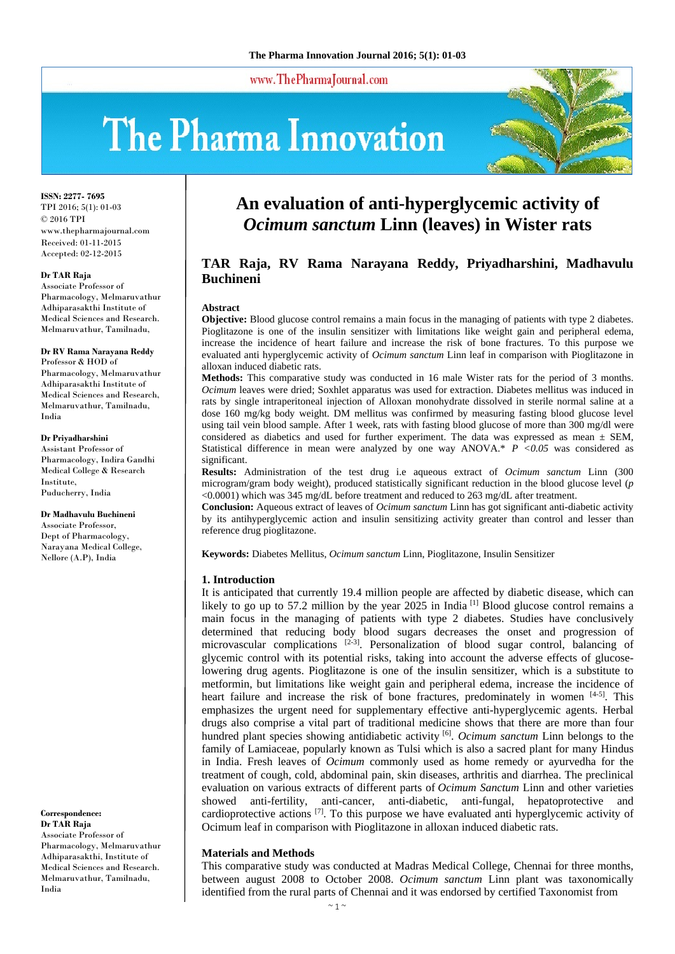www.ThePharmaJournal.com

# The Pharma Innovation



**ISSN: 2277- 7695** TPI 2016; 5(1): 01-03 © 2016 TPI www.thepharmajournal.com Received: 01-11-2015 Accepted: 02-12-2015

#### **Dr TAR Raja**

Associate Professor of Pharmacology, Melmaruvathur Adhiparasakthi Institute of Medical Sciences and Research. Melmaruvathur, Tamilnadu,

#### **Dr RV Rama Narayana Reddy**

Professor & HOD of Pharmacology, Melmaruvathur Adhiparasakthi Institute of Medical Sciences and Research, Melmaruvathur, Tamilnadu, India

#### **Dr Priyadharshini**

Assistant Professor of Pharmacology, Indira Gandhi Medical College & Research Institute, Puducherry, India

**Dr Madhavulu Buchineni**  Associate Professor, Dept of Pharmacology, Narayana Medical College, Nellore (A.P), India

**Correspondence: Dr TAR Raja**  Associate Professor of Pharmacology, Melmaruvathur Adhiparasakthi, Institute of Medical Sciences and Research. Melmaruvathur, Tamilnadu, India

## **An evaluation of anti-hyperglycemic activity of**  *Ocimum sanctum* **Linn (leaves) in Wister rats**

### **TAR Raja, RV Rama Narayana Reddy, Priyadharshini, Madhavulu Buchineni**

#### **Abstract**

**Objective:** Blood glucose control remains a main focus in the managing of patients with type 2 diabetes. Pioglitazone is one of the insulin sensitizer with limitations like weight gain and peripheral edema, increase the incidence of heart failure and increase the risk of bone fractures. To this purpose we evaluated anti hyperglycemic activity of *Ocimum sanctum* Linn leaf in comparison with Pioglitazone in alloxan induced diabetic rats.

**Methods:** This comparative study was conducted in 16 male Wister rats for the period of 3 months. *Ocimum* leaves were dried; Soxhlet apparatus was used for extraction. Diabetes mellitus was induced in rats by single intraperitoneal injection of Alloxan monohydrate dissolved in sterile normal saline at a dose 160 mg/kg body weight. DM mellitus was confirmed by measuring fasting blood glucose level using tail vein blood sample. After 1 week, rats with fasting blood glucose of more than 300 mg/dl were considered as diabetics and used for further experiment. The data was expressed as mean ± SEM, Statistical difference in mean were analyzed by one way ANOVA.\* *P* <0.05 was considered as significant.

**Results:** Administration of the test drug i.e aqueous extract of *Ocimum sanctum* Linn (300 microgram/gram body weight), produced statistically significant reduction in the blood glucose level (*p* <0.0001) which was 345 mg/dL before treatment and reduced to 263 mg/dL after treatment.

**Conclusion:** Aqueous extract of leaves of *Ocimum sanctum* Linn has got significant anti-diabetic activity by its antihyperglycemic action and insulin sensitizing activity greater than control and lesser than reference drug pioglitazone.

**Keywords:** Diabetes Mellitus, *Ocimum sanctum* Linn, Pioglitazone, Insulin Sensitizer

#### **1. Introduction**

It is anticipated that currently 19.4 million people are affected by diabetic disease, which can likely to go up to 57.2 million by the year 2025 in India  $^{[1]}$  Blood glucose control remains a main focus in the managing of patients with type 2 diabetes. Studies have conclusively determined that reducing body blood sugars decreases the onset and progression of microvascular complications  $[2-3]$ . Personalization of blood sugar control, balancing of glycemic control with its potential risks, taking into account the adverse effects of glucoselowering drug agents. Pioglitazone is one of the insulin sensitizer, which is a substitute to metformin, but limitations like weight gain and peripheral edema, increase the incidence of heart failure and increase the risk of bone fractures, predominately in women [4-5]. This emphasizes the urgent need for supplementary effective anti-hyperglycemic agents. Herbal drugs also comprise a vital part of traditional medicine shows that there are more than four hundred plant species showing antidiabetic activity [6]. *Ocimum sanctum* Linn belongs to the family of Lamiaceae, popularly known as Tulsi which is also a sacred plant for many Hindus in India. Fresh leaves of *Ocimum* commonly used as home remedy or ayurvedha for the treatment of cough, cold, abdominal pain, skin diseases, arthritis and diarrhea. The preclinical evaluation on various extracts of different parts of *Ocimum Sanctum* Linn and other varieties showed anti-fertility, anti-cancer, anti-diabetic, anti-fungal, hepatoprotective and cardioprotective actions  $\left[7\right]$ . To this purpose we have evaluated anti-hyperglycemic activity of Ocimum leaf in comparison with Pioglitazone in alloxan induced diabetic rats.

#### **Materials and Methods**

This comparative study was conducted at Madras Medical College, Chennai for three months, between august 2008 to October 2008. *Ocimum sanctum* Linn plant was taxonomically identified from the rural parts of Chennai and it was endorsed by certified Taxonomist from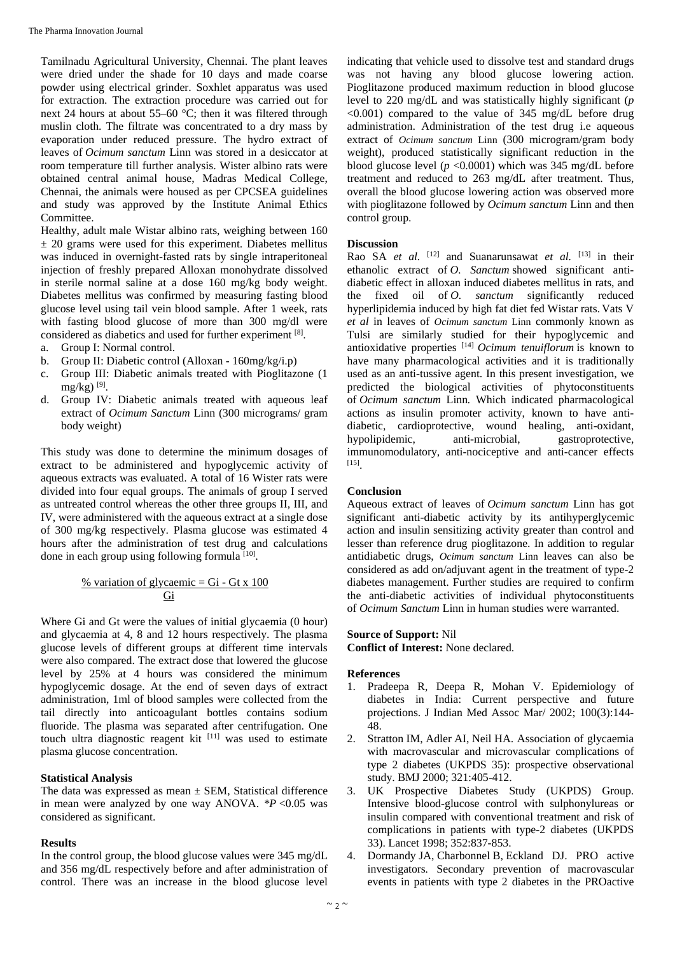Tamilnadu Agricultural University, Chennai. The plant leaves were dried under the shade for 10 days and made coarse powder using electrical grinder. Soxhlet apparatus was used for extraction. The extraction procedure was carried out for next 24 hours at about 55–60 °C; then it was filtered through muslin cloth. The filtrate was concentrated to a dry mass by evaporation under reduced pressure. The hydro extract of leaves of *Ocimum sanctum* Linn was stored in a desiccator at room temperature till further analysis. Wister albino rats were obtained central animal house, Madras Medical College, Chennai, the animals were housed as per CPCSEA guidelines and study was approved by the Institute Animal Ethics Committee.

Healthy, adult male Wistar albino rats, weighing between 160  $\pm$  20 grams were used for this experiment. Diabetes mellitus was induced in overnight-fasted rats by single intraperitoneal injection of freshly prepared Alloxan monohydrate dissolved in sterile normal saline at a dose 160 mg/kg body weight. Diabetes mellitus was confirmed by measuring fasting blood glucose level using tail vein blood sample. After 1 week, rats with fasting blood glucose of more than 300 mg/dl were considered as diabetics and used for further experiment [8].

- a. Group I: Normal control.
- b. Group II: Diabetic control (Alloxan 160mg/kg/i.p)
- c. Group III: Diabetic animals treated with Pioglitazone (1 mg/kg)  $[9]$ .
- d. Group IV: Diabetic animals treated with aqueous leaf extract of *Ocimum Sanctum* Linn (300 micrograms/ gram body weight)

This study was done to determine the minimum dosages of extract to be administered and hypoglycemic activity of aqueous extracts was evaluated. A total of 16 Wister rats were divided into four equal groups. The animals of group I served as untreated control whereas the other three groups II, III, and IV, were administered with the aqueous extract at a single dose of 300 mg/kg respectively. Plasma glucose was estimated 4 hours after the administration of test drug and calculations done in each group using following formula [10].

% variation of glycaemic = Gi - Gt x 100  

$$
\underline{Gi}
$$

Where Gi and Gt were the values of initial glycaemia (0 hour) and glycaemia at 4, 8 and 12 hours respectively. The plasma glucose levels of different groups at different time intervals were also compared. The extract dose that lowered the glucose level by 25% at 4 hours was considered the minimum hypoglycemic dosage. At the end of seven days of extract administration, 1ml of blood samples were collected from the tail directly into anticoagulant bottles contains sodium fluoride. The plasma was separated after centrifugation. One touch ultra diagnostic reagent kit [11] was used to estimate plasma glucose concentration.

#### **Statistical Analysis**

The data was expressed as mean  $\pm$  SEM, Statistical difference in mean were analyzed by one way ANOVA.  $*P < 0.05$  was considered as significant.

#### **Results**

In the control group, the blood glucose values were 345 mg/dL and 356 mg/dL respectively before and after administration of control. There was an increase in the blood glucose level

indicating that vehicle used to dissolve test and standard drugs was not having any blood glucose lowering action. Pioglitazone produced maximum reduction in blood glucose level to 220 mg/dL and was statistically highly significant (*p* <0.001) compared to the value of 345 mg/dL before drug administration. Administration of the test drug i.e aqueous extract of *Ocimum sanctum* Linn (300 microgram/gram body weight), produced statistically significant reduction in the blood glucose level (*p* <0.0001) which was 345 mg/dL before treatment and reduced to 263 mg/dL after treatment. Thus, overall the blood glucose lowering action was observed more with pioglitazone followed by *Ocimum sanctum* Linn and then control group.

#### **Discussion**

Rao SA *et al.* [12] and Suanarunsawat *et al.* [13] in their ethanolic extract of *O. Sanctum* showed significant antidiabetic effect in alloxan induced diabetes mellitus in rats, and the fixed oil of *O. sanctum* significantly reduced hyperlipidemia induced by high fat diet fed Wistar rats. Vats V *et al* in leaves of *Ocimum sanctum* Linn commonly known as Tulsi are similarly studied for their hypoglycemic and antioxidative properties [14] *Ocimum tenuiflorum* is known to have many pharmacological activities and it is traditionally used as an anti-tussive agent. In this present investigation, we predicted the biological activities of phytoconstituents of *Ocimum sanctum* Linn*.* Which indicated pharmacological actions as insulin promoter activity, known to have antidiabetic, cardioprotective, wound healing, anti-oxidant, hypolipidemic, anti-microbial, gastroprotective, immunomodulatory, anti-nociceptive and anti-cancer effects [15].

#### **Conclusion**

Aqueous extract of leaves of *Ocimum sanctum* Linn has got significant anti-diabetic activity by its antihyperglycemic action and insulin sensitizing activity greater than control and lesser than reference drug pioglitazone. In addition to regular antidiabetic drugs, *Ocimum sanctum* Linn leaves can also be considered as add on/adjuvant agent in the treatment of type-2 diabetes management. Further studies are required to confirm the anti-diabetic activities of individual phytoconstituents of *Ocimum Sanctum* Linn in human studies were warranted.

#### **Source of Support:** Nil

**Conflict of Interest:** None declared.

#### **References**

- 1. Pradeepa R, Deepa R, Mohan V. Epidemiology of diabetes in India: Current perspective and future projections. J Indian Med Assoc Mar/ 2002; 100(3):144- 48.
- 2. Stratton IM, Adler AI, Neil HA. Association of glycaemia with macrovascular and microvascular complications of type 2 diabetes (UKPDS 35): prospective observational study. BMJ 2000; 321:405-412.
- 3. UK Prospective Diabetes Study (UKPDS) Group. Intensive blood-glucose control with sulphonylureas or insulin compared with conventional treatment and risk of complications in patients with type-2 diabetes (UKPDS 33). Lancet 1998; 352:837-853.
- 4. Dormandy JA, Charbonnel B, Eckland DJ. PRO active investigators*.* Secondary prevention of macrovascular events in patients with type 2 diabetes in the PROactive